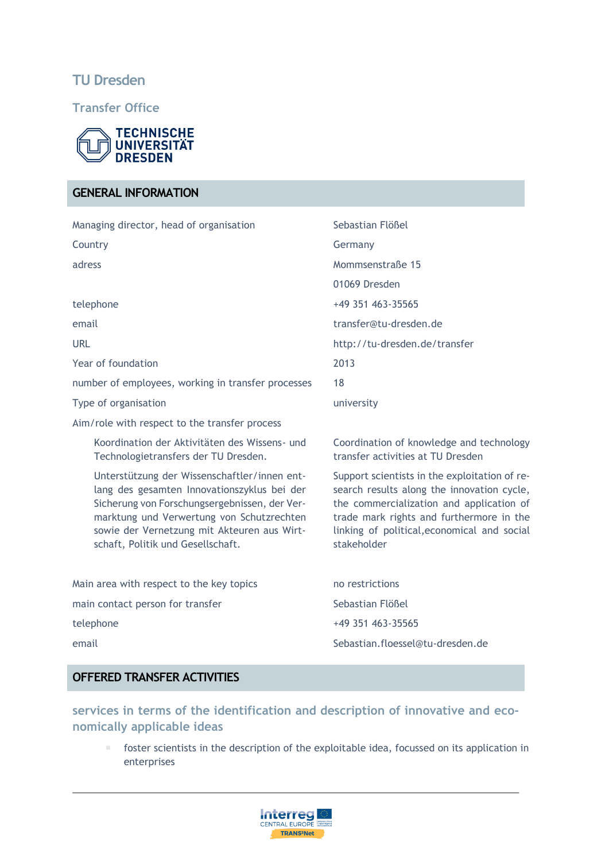# **TU Dresden**

**Transfer Office**



# **GENERAL INFORMATION**

| Managing director, head of organisation            |                                                                                                                                                                                                                                                                               | Sebastian Flößel                                                                                                                                                                                                                                  |
|----------------------------------------------------|-------------------------------------------------------------------------------------------------------------------------------------------------------------------------------------------------------------------------------------------------------------------------------|---------------------------------------------------------------------------------------------------------------------------------------------------------------------------------------------------------------------------------------------------|
| Country                                            |                                                                                                                                                                                                                                                                               | Germany                                                                                                                                                                                                                                           |
| adress                                             |                                                                                                                                                                                                                                                                               | Mommsenstraße 15                                                                                                                                                                                                                                  |
|                                                    |                                                                                                                                                                                                                                                                               | 01069 Dresden                                                                                                                                                                                                                                     |
| telephone                                          |                                                                                                                                                                                                                                                                               | +49 351 463-35565                                                                                                                                                                                                                                 |
| email                                              |                                                                                                                                                                                                                                                                               | transfer@tu-dresden.de                                                                                                                                                                                                                            |
| <b>URL</b>                                         |                                                                                                                                                                                                                                                                               | http://tu-dresden.de/transfer                                                                                                                                                                                                                     |
| Year of foundation                                 |                                                                                                                                                                                                                                                                               | 2013                                                                                                                                                                                                                                              |
| number of employees, working in transfer processes |                                                                                                                                                                                                                                                                               | 18                                                                                                                                                                                                                                                |
| Type of organisation                               |                                                                                                                                                                                                                                                                               | university                                                                                                                                                                                                                                        |
|                                                    | Aim/role with respect to the transfer process                                                                                                                                                                                                                                 |                                                                                                                                                                                                                                                   |
|                                                    | Koordination der Aktivitäten des Wissens- und<br>Technologietransfers der TU Dresden.                                                                                                                                                                                         | Coordination of knowledge and technology<br>transfer activities at TU Dresden                                                                                                                                                                     |
|                                                    | Unterstützung der Wissenschaftler/innen ent-<br>lang des gesamten Innovationszyklus bei der<br>Sicherung von Forschungsergebnissen, der Ver-<br>marktung und Verwertung von Schutzrechten<br>sowie der Vernetzung mit Akteuren aus Wirt-<br>schaft, Politik und Gesellschaft. | Support scientists in the exploitation of re-<br>search results along the innovation cycle,<br>the commercialization and application of<br>trade mark rights and furthermore in the<br>linking of political, economical and social<br>stakeholder |
| Main area with respect to the key topics           |                                                                                                                                                                                                                                                                               | no restrictions                                                                                                                                                                                                                                   |
| main contact person for transfer                   |                                                                                                                                                                                                                                                                               | Sebastian Flößel                                                                                                                                                                                                                                  |
| telephone                                          |                                                                                                                                                                                                                                                                               | +49 351 463-35565                                                                                                                                                                                                                                 |

email Sebastian.floessel@tu-dresden.de

## **OFFERED TRANSFER ACTIVITIES**

**services in terms of the identification and description of innovative and economically applicable ideas**

 foster scientists in the description of the exploitable idea, focussed on its application in enterprises

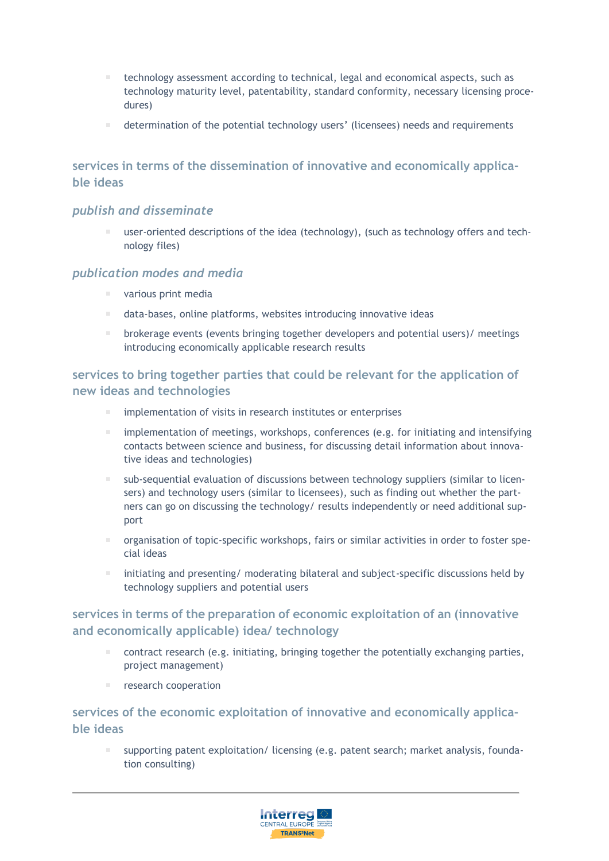- technology assessment according to technical, legal and economical aspects, such as technology maturity level, patentability, standard conformity, necessary licensing procedures)
- determination of the potential technology users' (licensees) needs and requirements

## **services in terms of the dissemination of innovative and economically applicable ideas**

#### *publish and disseminate*

 user-oriented descriptions of the idea (technology), (such as technology offers and technology files)

#### *publication modes and media*

- various print media
- data-bases, online platforms, websites introducing innovative ideas
- brokerage events (events bringing together developers and potential users)/ meetings introducing economically applicable research results

**services to bring together parties that could be relevant for the application of new ideas and technologies**

- implementation of visits in research institutes or enterprises
- implementation of meetings, workshops, conferences (e.g. for initiating and intensifying contacts between science and business, for discussing detail information about innovative ideas and technologies)
- sub-sequential evaluation of discussions between technology suppliers (similar to licensers) and technology users (similar to licensees), such as finding out whether the partners can go on discussing the technology/ results independently or need additional support
- organisation of topic-specific workshops, fairs or similar activities in order to foster special ideas
- initiating and presenting/ moderating bilateral and subject-specific discussions held by technology suppliers and potential users

## **services in terms of the preparation of economic exploitation of an (innovative and economically applicable) idea/ technology**

- contract research (e.g. initiating, bringing together the potentially exchanging parties, project management)
- research cooperation

# **services of the economic exploitation of innovative and economically applicable ideas**

 supporting patent exploitation/ licensing (e.g. patent search; market analysis, foundation consulting)

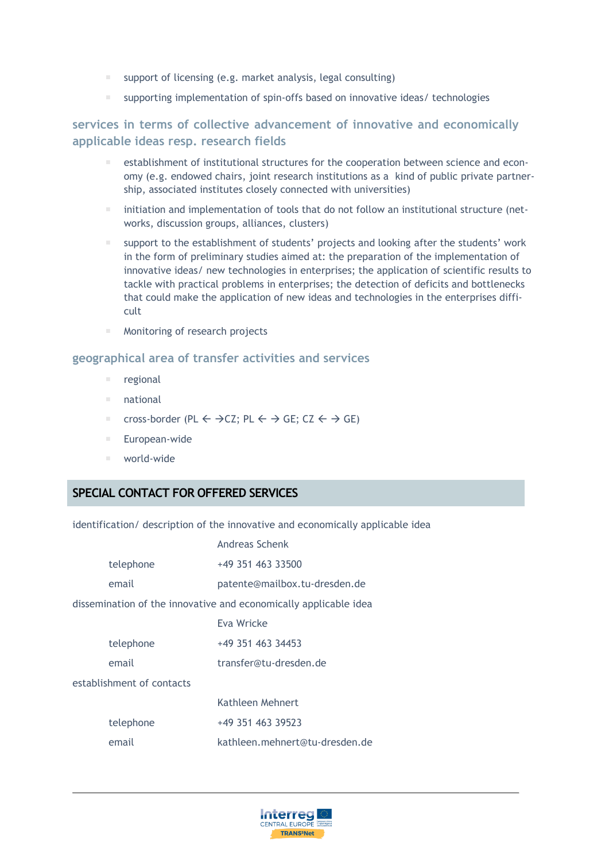- support of licensing (e.g. market analysis, legal consulting)
- supporting implementation of spin-offs based on innovative ideas/ technologies

## **services in terms of collective advancement of innovative and economically applicable ideas resp. research fields**

- **E** establishment of institutional structures for the cooperation between science and economy (e.g. endowed chairs, joint research institutions as a kind of public private partnership, associated institutes closely connected with universities)
- initiation and implementation of tools that do not follow an institutional structure (networks, discussion groups, alliances, clusters)
- support to the establishment of students' projects and looking after the students' work in the form of preliminary studies aimed at: the preparation of the implementation of innovative ideas/ new technologies in enterprises; the application of scientific results to tackle with practical problems in enterprises; the detection of deficits and bottlenecks that could make the application of new ideas and technologies in the enterprises difficult
- Monitoring of research projects

#### **geographical area of transfer activities and services**

- regional
- national
- cross-border (PL  $\leftarrow \rightarrow$  CZ; PL  $\leftarrow \rightarrow$  GE; CZ  $\leftarrow \rightarrow$  GE)
- European-wide
- world-wide

### **SPECIAL CONTACT FOR OFFERED SERVICES**

identification/ description of the innovative and economically applicable idea Andreas Schenk

|                                                                  |           | Alluleds Schellk               |  |
|------------------------------------------------------------------|-----------|--------------------------------|--|
|                                                                  | telephone | +49 351 463 33500              |  |
|                                                                  | email     | patente@mailbox.tu-dresden.de  |  |
| dissemination of the innovative and economically applicable idea |           |                                |  |
|                                                                  |           | Eva Wricke                     |  |
|                                                                  | telephone | +49 351 463 34453              |  |
|                                                                  | email     | transfer@tu-dresden.de         |  |
| establishment of contacts                                        |           |                                |  |
|                                                                  |           | Kathleen Mehnert               |  |
|                                                                  | telephone | +49 351 463 39523              |  |
|                                                                  | email     | kathleen.mehnert@tu-dresden.de |  |
|                                                                  |           |                                |  |